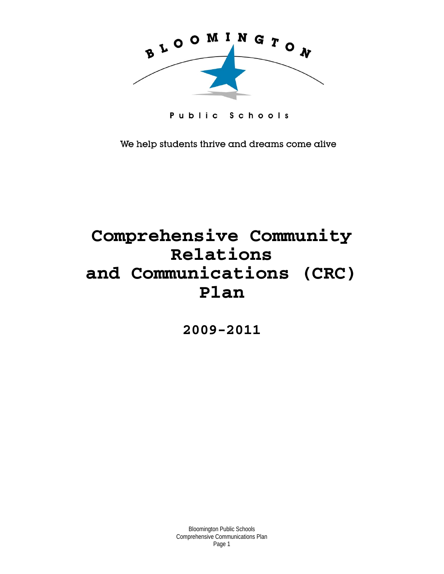

Public Schools

We help students thrive and dreams come alive

# **Comprehensive Community Relations and Communications (CRC) Plan**

**2009-2011**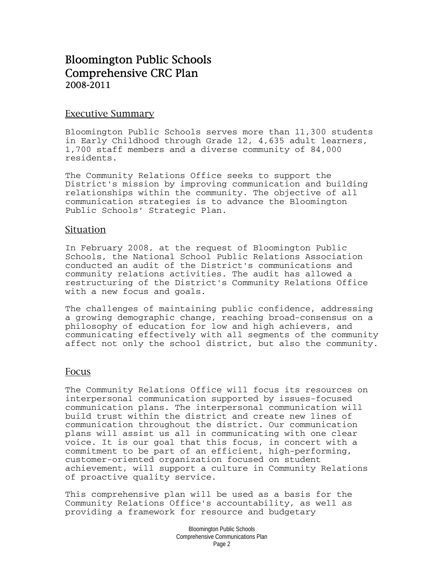### Bloomington Public Schools Comprehensive CRC Plan 2008-2011

#### Executive Summary

Bloomington Public Schools serves more than 11,300 students in Early Childhood through Grade 12, 4,635 adult learners, 1,700 staff members and a diverse community of 84,000 residents.

The Community Relations Office seeks to support the District's mission by improving communication and building relationships within the community. The objective of all communication strategies is to advance the Bloomington Public Schools' Strategic Plan.

#### **Situation**

In February 2008, at the request of Bloomington Public Schools, the National School Public Relations Association conducted an audit of the District's communications and community relations activities. The audit has allowed a restructuring of the District's Community Relations Office with a new focus and goals.

The challenges of maintaining public confidence, addressing a growing demographic change, reaching broad-consensus on a philosophy of education for low and high achievers, and communicating effectively with all segments of the community affect not only the school district, but also the community.

#### Focus

The Community Relations Office will focus its resources on interpersonal communication supported by issues-focused communication plans. The interpersonal communication will build trust within the district and create new lines of communication throughout the district. Our communication plans will assist us all in communicating with one clear voice. It is our goal that this focus, in concert with a commitment to be part of an efficient, high-performing, customer-oriented organization focused on student achievement, will support a culture in Community Relations of proactive quality service.

This comprehensive plan will be used as a basis for the Community Relations Office's accountability, as well as providing a framework for resource and budgetary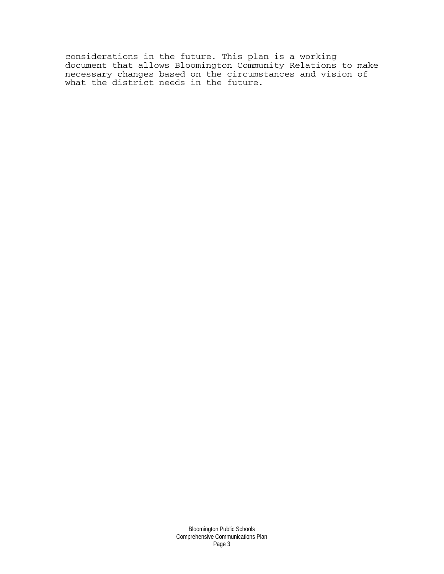considerations in the future. This plan is a working document that allows Bloomington Community Relations to make necessary changes based on the circumstances and vision of what the district needs in the future.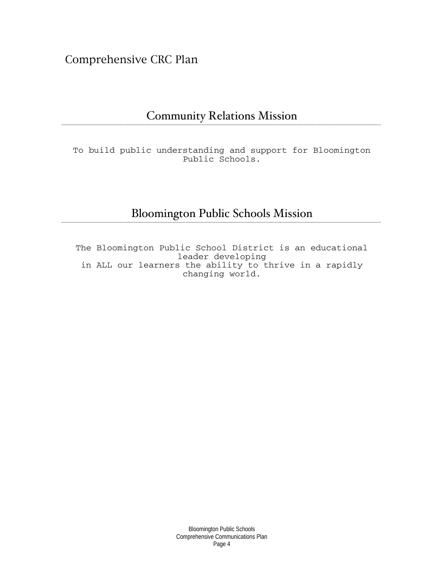Comprehensive CRC Plan

## Community Relations Mission

To build public understanding and support for Bloomington Public Schools.

## Bloomington Public Schools Mission

The Bloomington Public School District is an educational leader developing in ALL our learners the ability to thrive in a rapidly changing world.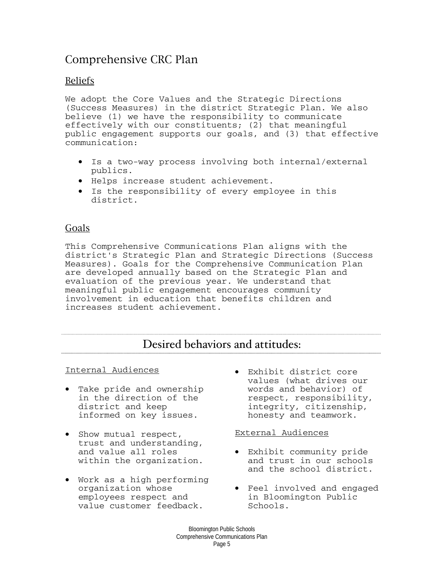## Comprehensive CRC Plan

### Beliefs

We adopt the Core Values and the Strategic Directions (Success Measures) in the district Strategic Plan. We also believe (1) we have the responsibility to communicate effectively with our constituents; (2) that meaningful public engagement supports our goals, and (3) that effective communication:

- Is a two-way process involving both internal/external publics.
- Helps increase student achievement.
- Is the responsibility of every employee in this district.

### Goals

This Comprehensive Communications Plan aligns with the district's Strategic Plan and Strategic Directions (Success Measures). Goals for the Comprehensive Communication Plan are developed annually based on the Strategic Plan and evaluation of the previous year. We understand that meaningful public engagement encourages community involvement in education that benefits children and increases student achievement.

### Desired behaviors and attitudes:

#### Internal Audiences

- Take pride and ownership in the direction of the district and keep informed on key issues.
- Show mutual respect, trust and understanding, and value all roles within the organization.
- Work as a high performing organization whose employees respect and value customer feedback.

 Exhibit district core values (what drives our words and behavior) of respect, responsibility, integrity, citizenship, honesty and teamwork.

#### External Audiences

- Exhibit community pride and trust in our schools and the school district.
- Feel involved and engaged in Bloomington Public Schools.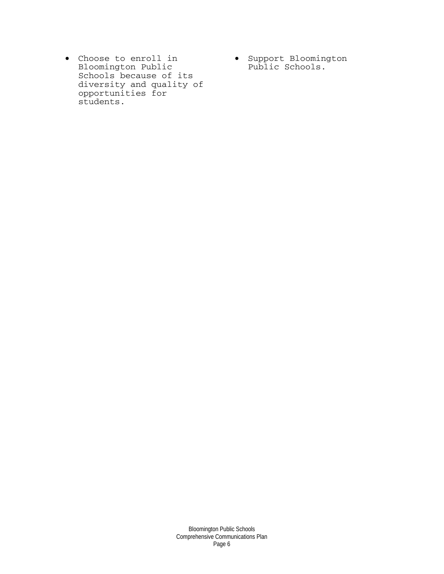- Choose to enroll in Bloomington Public Schools because of its diversity and quality of opportunities for students.
- Support Bloomington Public Schools.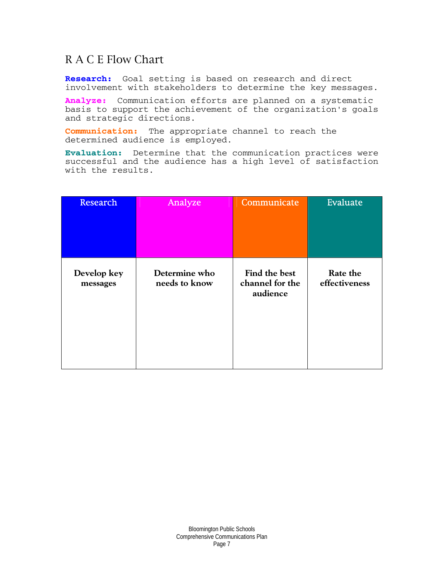### R A C E Flow Chart

**Research:** Goal setting is based on research and direct involvement with stakeholders to determine the key messages.

**Analyze:** Communication efforts are planned on a systematic basis to support the achievement of the organization's goals and strategic directions.

**Communication:** The appropriate channel to reach the determined audience is employed.

**Evaluation:** Determine that the communication practices were successful and the audience has a high level of satisfaction with the results.

| <b>Research</b>         | Analyze                        | Communicate                                  | <b>Evaluate</b>           |
|-------------------------|--------------------------------|----------------------------------------------|---------------------------|
| Develop key<br>messages | Determine who<br>needs to know | Find the best<br>channel for the<br>audience | Rate the<br>effectiveness |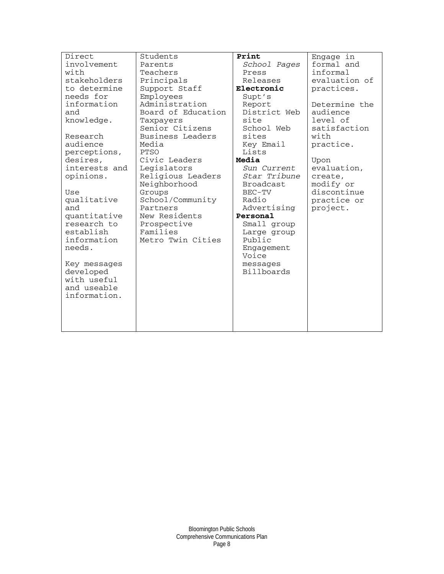| Direct        | Students           | Print            | Engage in     |
|---------------|--------------------|------------------|---------------|
| involvement   | Parents            | School Pages     | formal and    |
| with          | Teachers           | Press            | informal      |
| stakeholders  | Principals         | Releases         | evaluation of |
| to determine  | Support Staff      | Electronic       | practices.    |
| needs for     | Employees          | Supt's           |               |
| information   | Administration     | Report           | Determine the |
| and           | Board of Education | District Web     | audience      |
| knowledge.    | Taxpayers          | site             | level of      |
|               | Senior Citizens    | School Web       | satisfaction  |
| Research      | Business Leaders   | sites            | with          |
| audience      | Media              | Key Email        | practice.     |
| perceptions,  | <b>PTSO</b>        | Lists            |               |
| desires,      | Civic Leaders      | Media            | Upon          |
| interests and | Legislators        | Sun Current      | evaluation,   |
| opinions.     | Religious Leaders  | Star Tribune     | create,       |
|               | Neighborhood       | <b>Broadcast</b> | modify or     |
| Use           | Groups             | $BEC-TV$         | discontinue   |
| qualitative   | School/Community   | Radio            | practice or   |
| and           | Partners           | Advertising      | project.      |
| quantitative  | New Residents      | Personal         |               |
| research to   | Prospective        | Small group      |               |
| establish     | Families           | Large group      |               |
| information   | Metro Twin Cities  | Public           |               |
| needs.        |                    | Engagement       |               |
|               |                    | Voice            |               |
| Key messages  |                    | messages         |               |
| developed     |                    | Billboards       |               |
| with useful   |                    |                  |               |
| and useable   |                    |                  |               |
| information.  |                    |                  |               |
|               |                    |                  |               |
|               |                    |                  |               |
|               |                    |                  |               |
|               |                    |                  |               |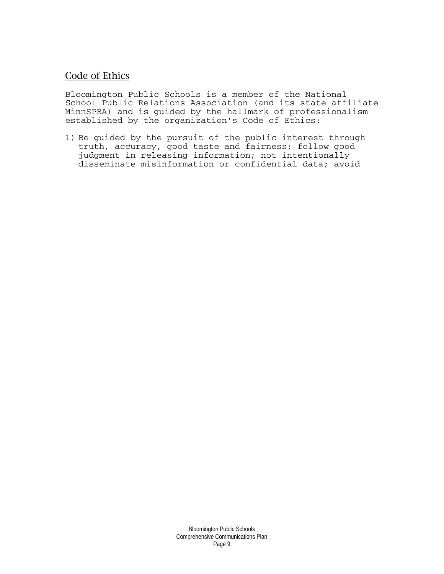### Code of Ethics

Bloomington Public Schools is a member of the National School Public Relations Association (and its state affiliate MinnSPRA) and is guided by the hallmark of professionalism established by the organization's Code of Ethics:

1) Be guided by the pursuit of the public interest through truth, accuracy, good taste and fairness; follow good judgment in releasing information; not intentionally disseminate misinformation or confidential data; avoid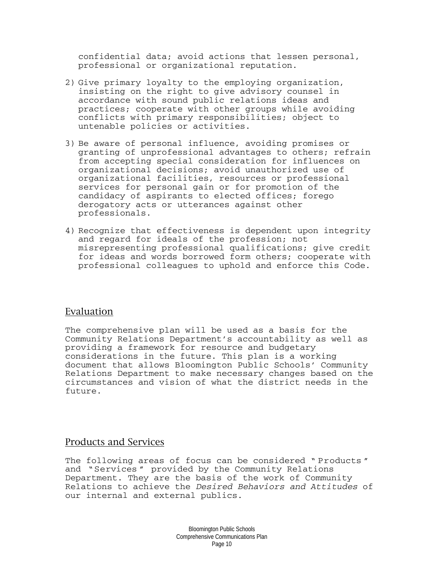confidential data; avoid actions that lessen personal, professional or organizational reputation.

- 2) Give primary loyalty to the employing organization, insisting on the right to give advisory counsel in accordance with sound public relations ideas and practices; cooperate with other groups while avoiding conflicts with primary responsibilities; object to untenable policies or activities.
- 3) Be aware of personal influence, avoiding promises or granting of unprofessional advantages to others; refrain from accepting special consideration for influences on organizational decisions; avoid unauthorized use of organizational facilities, resources or professional services for personal gain or for promotion of the candidacy of aspirants to elected offices; forego derogatory acts or utterances against other professionals.
- 4) Recognize that effectiveness is dependent upon integrity and regard for ideals of the profession; not misrepresenting professional qualifications; give credit for ideas and words borrowed form others; cooperate with professional colleagues to uphold and enforce this Code.

### Evaluation

The comprehensive plan will be used as a basis for the Community Relations Department's accountability as well as providing a framework for resource and budgetary considerations in the future. This plan is a working document that allows Bloomington Public Schools' Community Relations Department to make necessary changes based on the circumstances and vision of what the district needs in the future.

### Products and Services

The following areas of focus can be considered " Products " and "Services " provided by the Community Relations Department. They are the basis of the work of Community Relations to achieve the *Desired Behaviors and Attitudes* of our internal and external publics.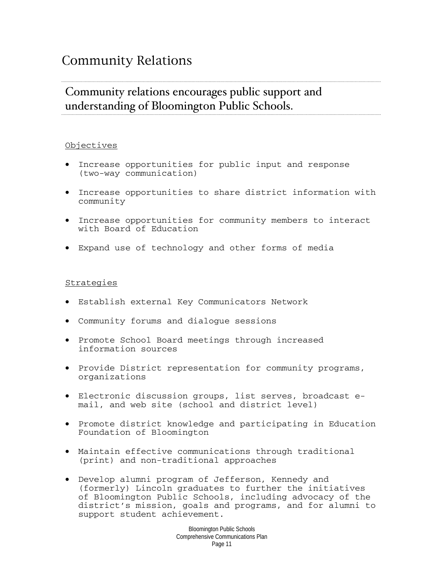## Community Relations

### Community relations encourages public support and understanding of Bloomington Public Schools.

#### Objectives

- Increase opportunities for public input and response (two-way communication)
- Increase opportunities to share district information with community
- Increase opportunities for community members to interact with Board of Education
- Expand use of technology and other forms of media

- Establish external Key Communicators Network
- Community forums and dialogue sessions
- Promote School Board meetings through increased information sources
- Provide District representation for community programs, organizations
- Electronic discussion groups, list serves, broadcast email, and web site (school and district level)
- Promote district knowledge and participating in Education Foundation of Bloomington
- Maintain effective communications through traditional (print) and non-traditional approaches
- Develop alumni program of Jefferson, Kennedy and (formerly) Lincoln graduates to further the initiatives of Bloomington Public Schools, including advocacy of the district's mission, goals and programs, and for alumni to support student achievement.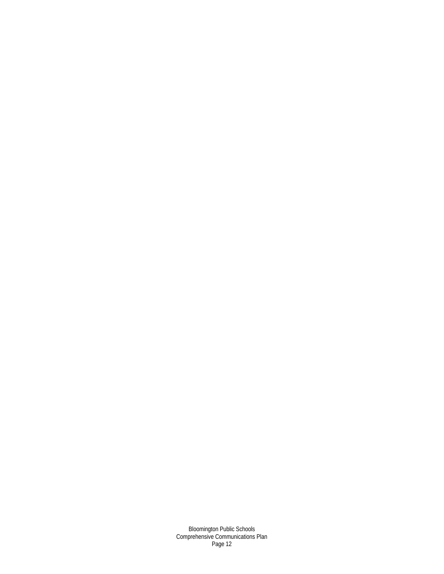Bloomington Public Schools Comprehensive Communications Plan Page 12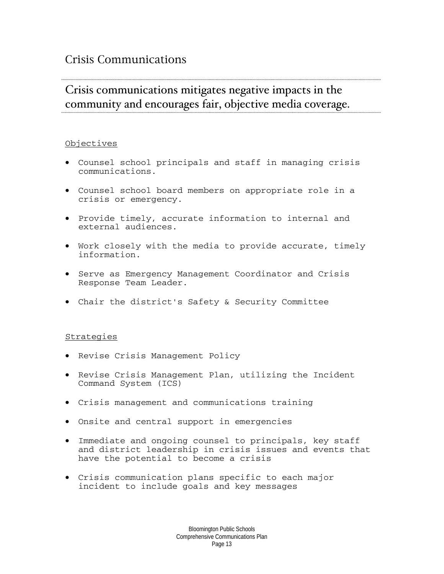## Crisis Communications

## Crisis communications mitigates negative impacts in the community and encourages fair, objective media coverage.

#### Objectives

- Counsel school principals and staff in managing crisis communications.
- Counsel school board members on appropriate role in a crisis or emergency.
- Provide timely, accurate information to internal and external audiences.
- Work closely with the media to provide accurate, timely information.
- **•** Serve as Emergency Management Coordinator and Crisis Response Team Leader.
- Chair the district's Safety & Security Committee

- Revise Crisis Management Policy
- Revise Crisis Management Plan, utilizing the Incident Command System (ICS)
- Crisis management and communications training
- Onsite and central support in emergencies
- Immediate and ongoing counsel to principals, key staff and district leadership in crisis issues and events that have the potential to become a crisis
- Crisis communication plans specific to each major incident to include goals and key messages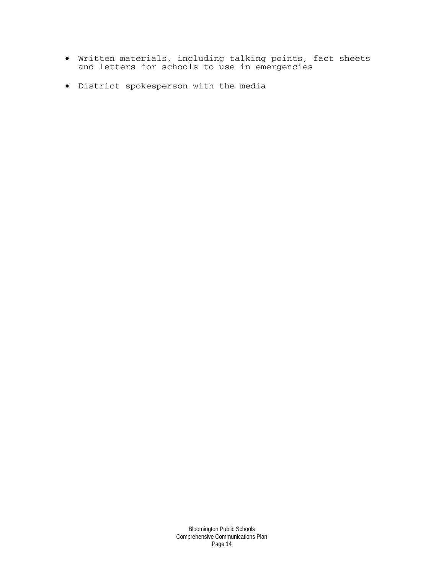- Written materials, including talking points, fact sheets and letters for schools to use in emergencies
- District spokesperson with the media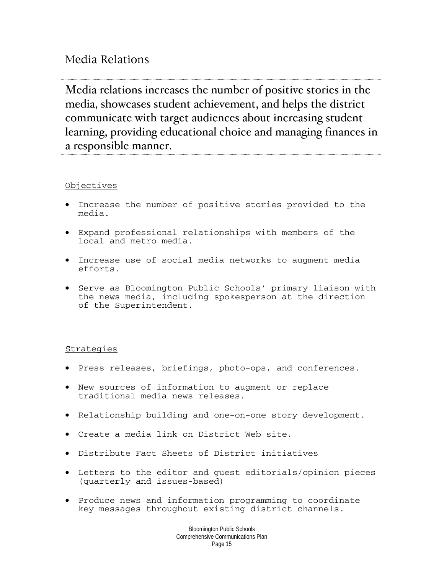### Media Relations

Media relations increases the number of positive stories in the media, showcases student achievement, and helps the district communicate with target audiences about increasing student learning, providing educational choice and managing finances in a responsible manner.

### Objectives

- Increase the number of positive stories provided to the media.
- Expand professional relationships with members of the local and metro media.
- Increase use of social media networks to augment media efforts.
- Serve as Bloomington Public Schools' primary liaison with the news media, including spokesperson at the direction of the Superintendent.

- Press releases, briefings, photo-ops, and conferences.
- New sources of information to augment or replace traditional media news releases.
- Relationship building and one-on-one story development.
- Create a media link on District Web site.
- Distribute Fact Sheets of District initiatives
- Letters to the editor and guest editorials/opinion pieces (quarterly and issues-based)
- Produce news and information programming to coordinate key messages throughout existing district channels.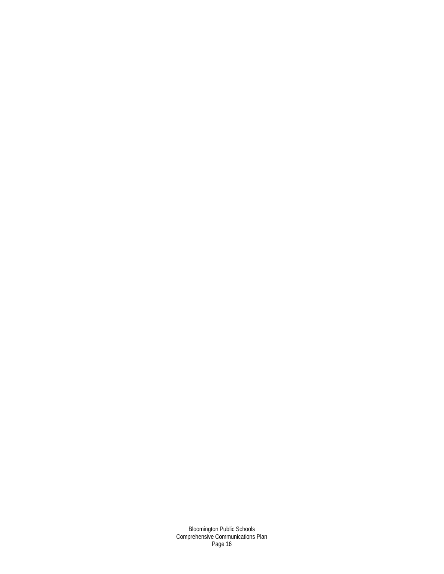Bloomington Public Schools Comprehensive Communications Plan Page 16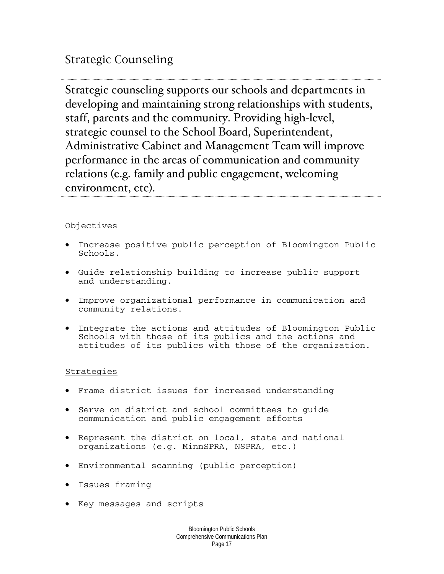## Strategic Counseling

Strategic counseling supports our schools and departments in developing and maintaining strong relationships with students, staff, parents and the community. Providing high-level, strategic counsel to the School Board, Superintendent, Administrative Cabinet and Management Team will improve performance in the areas of communication and community relations (e.g. family and public engagement, welcoming environment, etc).

### Objectives

- Increase positive public perception of Bloomington Public Schools.
- Guide relationship building to increase public support and understanding.
- Improve organizational performance in communication and community relations.
- Integrate the actions and attitudes of Bloomington Public Schools with those of its publics and the actions and attitudes of its publics with those of the organization.

- Frame district issues for increased understanding
- Serve on district and school committees to guide communication and public engagement efforts
- Represent the district on local, state and national organizations (e.g. MinnSPRA, NSPRA, etc.)
- Environmental scanning (public perception)
- Issues framing
- Key messages and scripts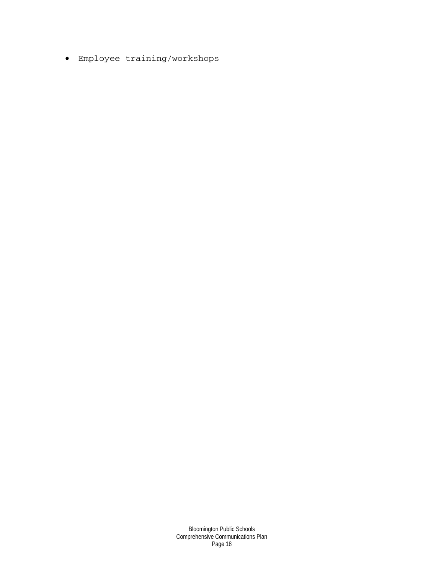Employee training/workshops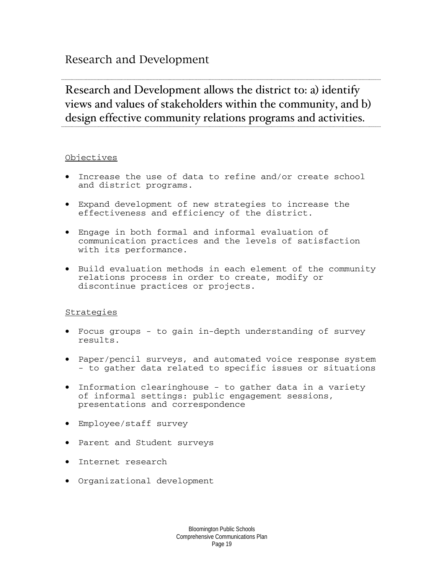### Research and Development

## Research and Development allows the district to: a) identify views and values of stakeholders within the community, and b) design effective community relations programs and activities.

#### Objectives

- Increase the use of data to refine and/or create school and district programs.
- Expand development of new strategies to increase the effectiveness and efficiency of the district.
- Engage in both formal and informal evaluation of communication practices and the levels of satisfaction with its performance.
- Build evaluation methods in each element of the community relations process in order to create, modify or discontinue practices or projects.

- Focus groups to gain in-depth understanding of survey results.
- Paper/pencil surveys, and automated voice response system - to gather data related to specific issues or situations
- Information clearinghouse to gather data in a variety of informal settings: public engagement sessions, presentations and correspondence
- Employee/staff survey
- Parent and Student surveys
- Internet research
- Organizational development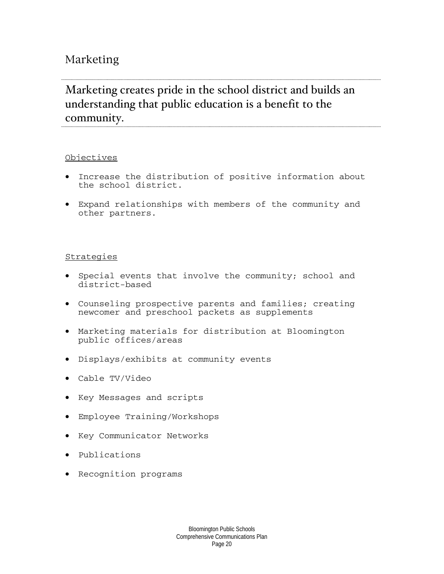## Marketing

## Marketing creates pride in the school district and builds an understanding that public education is a benefit to the community.

### Objectives

- Increase the distribution of positive information about the school district.
- Expand relationships with members of the community and other partners.

- Special events that involve the community; school and district-based
- Counseling prospective parents and families; creating newcomer and preschool packets as supplements
- Marketing materials for distribution at Bloomington public offices/areas
- Displays/exhibits at community events
- Cable TV/Video
- Key Messages and scripts
- Employee Training/Workshops
- Key Communicator Networks
- Publications
- Recognition programs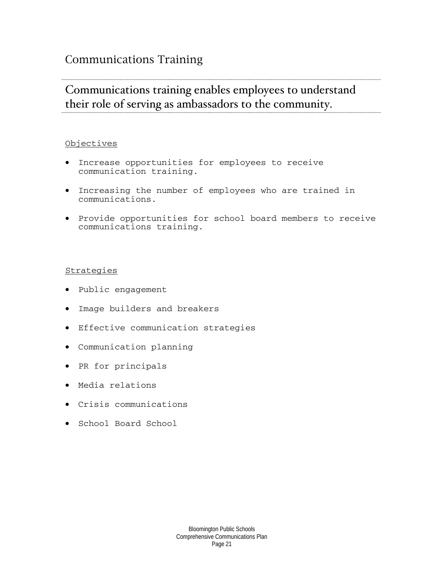## Communications training enables employees to understand their role of serving as ambassadors to the community.

### Objectives

- Increase opportunities for employees to receive communication training.
- Increasing the number of employees who are trained in communications.
- Provide opportunities for school board members to receive communications training.

- Public engagement
- Image builders and breakers
- Effective communication strategies
- Communication planning
- PR for principals
- Media relations
- Crisis communications
- School Board School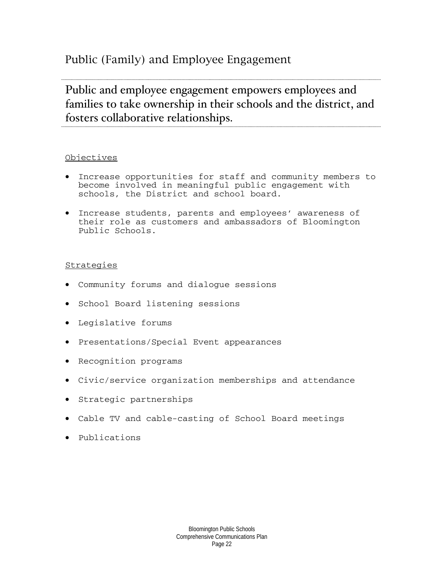## Public (Family) and Employee Engagement

## Public and employee engagement empowers employees and families to take ownership in their schools and the district, and fosters collaborative relationships.

### Objectives

- Increase opportunities for staff and community members to become involved in meaningful public engagement with schools, the District and school board.
- Increase students, parents and employees' awareness of their role as customers and ambassadors of Bloomington Public Schools.

- Community forums and dialogue sessions
- School Board listening sessions
- Legislative forums
- Presentations/Special Event appearances
- Recognition programs
- Civic/service organization memberships and attendance
- Strategic partnerships
- Cable TV and cable-casting of School Board meetings
- Publications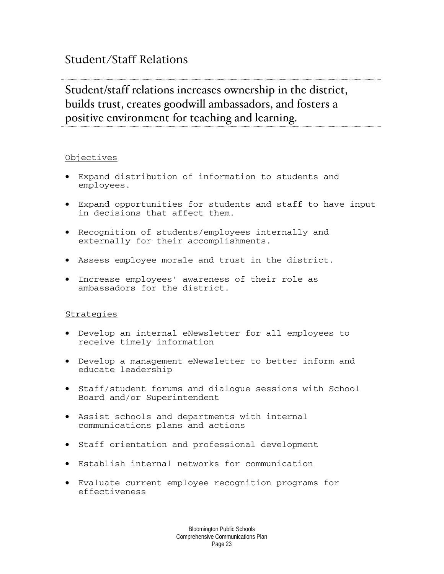## Student/staff relations increases ownership in the district, builds trust, creates goodwill ambassadors, and fosters a positive environment for teaching and learning.

### Objectives

- Expand distribution of information to students and employees.
- Expand opportunities for students and staff to have input in decisions that affect them.
- Recognition of students/employees internally and externally for their accomplishments.
- Assess employee morale and trust in the district.
- Increase employees' awareness of their role as ambassadors for the district.

- Develop an internal eNewsletter for all employees to receive timely information
- Develop a management eNewsletter to better inform and educate leadership
- Staff/student forums and dialogue sessions with School Board and/or Superintendent
- Assist schools and departments with internal communications plans and actions
- Staff orientation and professional development
- Establish internal networks for communication
- Evaluate current employee recognition programs for effectiveness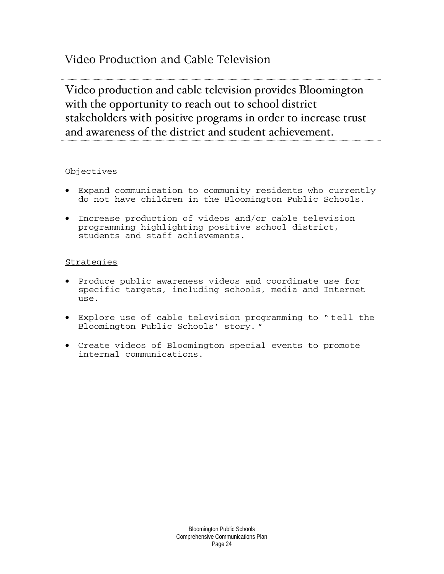## Video Production and Cable Television

Video production and cable television provides Bloomington with the opportunity to reach out to school district stakeholders with positive programs in order to increase trust and awareness of the district and student achievement.

### Objectives

- Expand communication to community residents who currently do not have children in the Bloomington Public Schools.
- Increase production of videos and/or cable television programming highlighting positive school district, students and staff achievements.

- Produce public awareness videos and coordinate use for specific targets, including schools, media and Internet use.
- Explore use of cable television programming to " tell the Bloomington Public Schools' story. "
- Create videos of Bloomington special events to promote internal communications.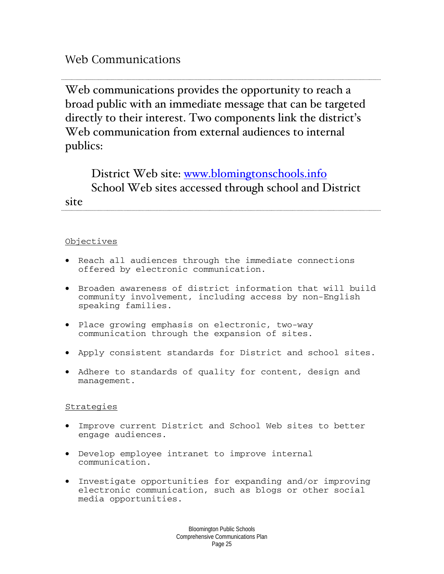Web communications provides the opportunity to reach a broad public with an immediate message that can be targeted directly to their interest. Two components link the district's Web communication from external audiences to internal publics:

## District Web site: www.blomingtonschools.info School Web sites accessed through school and District

site

### Objectives

- Reach all audiences through the immediate connections offered by electronic communication.
- Broaden awareness of district information that will build community involvement, including access by non-English speaking families.
- Place growing emphasis on electronic, two-way communication through the expansion of sites.
- Apply consistent standards for District and school sites.
- Adhere to standards of quality for content, design and management.

- Improve current District and School Web sites to better engage audiences.
- Develop employee intranet to improve internal communication.
- Investigate opportunities for expanding and/or improving electronic communication, such as blogs or other social media opportunities.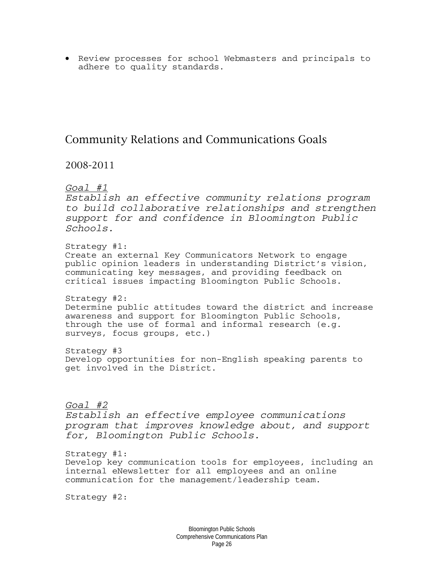Review processes for school Webmasters and principals to adhere to quality standards.

### Community Relations and Communications Goals

2008-2011

*Goal #1*

*Establish an effective community relations program to build collaborative relationships and strengthen support for and confidence in Bloomington Public Schools.* 

Strategy #1:

Create an external Key Communicators Network to engage public opinion leaders in understanding District's vision, communicating key messages, and providing feedback on critical issues impacting Bloomington Public Schools.

Strategy #2: Determine public attitudes toward the district and increase awareness and support for Bloomington Public Schools, through the use of formal and informal research (e.g. surveys, focus groups, etc.)

Strategy #3 Develop opportunities for non-English speaking parents to get involved in the District.

*Goal #2 Establish an effective employee communications program that improves knowledge about, and support for, Bloomington Public Schools.* 

Strategy #1: Develop key communication tools for employees, including an internal eNewsletter for all employees and an online communication for the management/leadership team.

Strategy #2: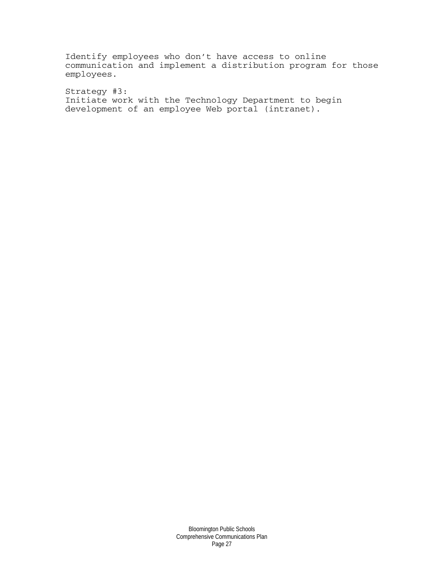Identify employees who don't have access to online communication and implement a distribution program for those employees.

Strategy #3: Initiate work with the Technology Department to begin development of an employee Web portal (intranet).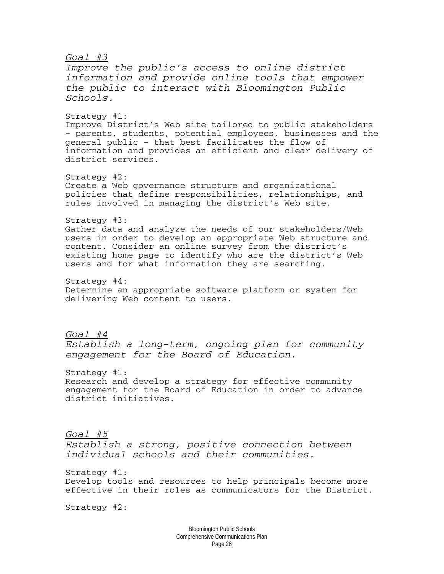*Goal #3 Improve the public's access to online district information and provide online tools that empower the public to interact with Bloomington Public Schools.*  Strategy #1: Improve District's Web site tailored to public stakeholders – parents, students, potential employees, businesses and the general public – that best facilitates the flow of information and provides an efficient and clear delivery of district services. Strategy #2: Create a Web governance structure and organizational policies that define responsibilities, relationships, and rules involved in managing the district's Web site. Strategy #3: Gather data and analyze the needs of our stakeholders/Web users in order to develop an appropriate Web structure and content. Consider an online survey from the district's existing home page to identify who are the district's Web users and for what information they are searching. Strategy #4: Determine an appropriate software platform or system for delivering Web content to users. *Goal #4 Establish a long-term, ongoing plan for community engagement for the Board of Education.*  Strategy #1: Research and develop a strategy for effective community engagement for the Board of Education in order to advance district initiatives. *Goal #5 Establish a strong, positive connection between individual schools and their communities.*  Strategy #1: Develop tools and resources to help principals become more effective in their roles as communicators for the District. Strategy #2: